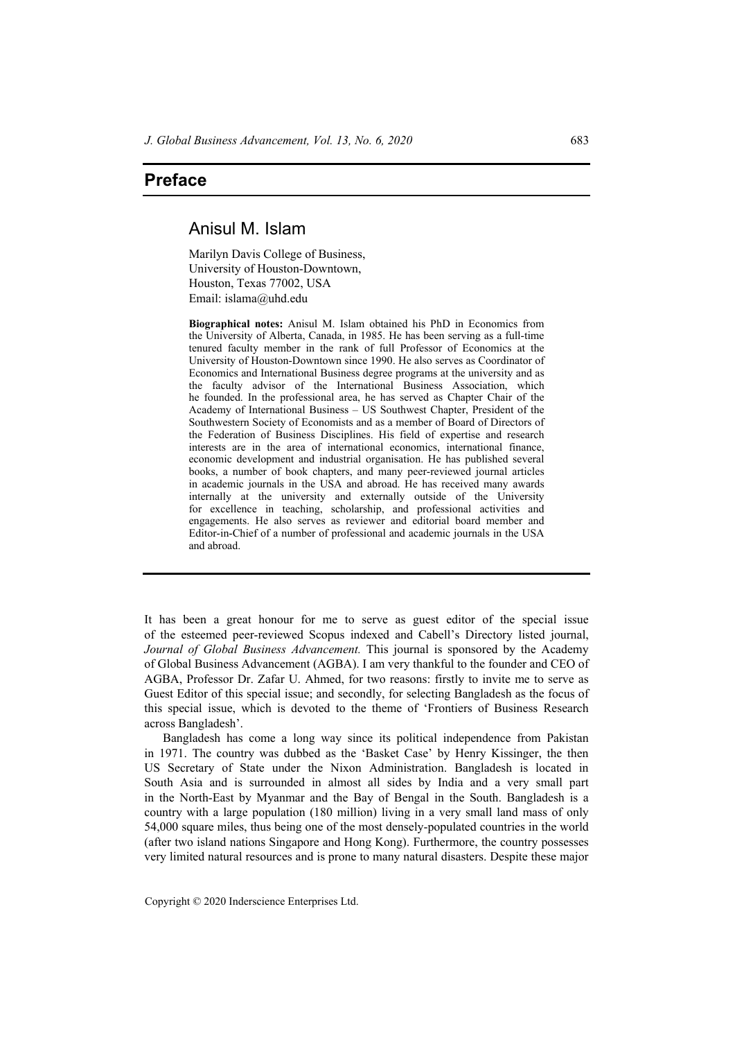## **Preface**

## Anisul M. Islam

Marilyn Davis College of Business, University of Houston-Downtown, Houston, Texas 77002, USA Email: islama@uhd.edu

**Biographical notes:** Anisul M. Islam obtained his PhD in Economics from the University of Alberta, Canada, in 1985. He has been serving as a full-time tenured faculty member in the rank of full Professor of Economics at the University of Houston-Downtown since 1990. He also serves as Coordinator of Economics and International Business degree programs at the university and as the faculty advisor of the International Business Association, which he founded. In the professional area, he has served as Chapter Chair of the Academy of International Business – US Southwest Chapter, President of the Southwestern Society of Economists and as a member of Board of Directors of the Federation of Business Disciplines. His field of expertise and research interests are in the area of international economics, international finance, economic development and industrial organisation. He has published several books, a number of book chapters, and many peer-reviewed journal articles in academic journals in the USA and abroad. He has received many awards internally at the university and externally outside of the University for excellence in teaching, scholarship, and professional activities and engagements. He also serves as reviewer and editorial board member and Editor-in-Chief of a number of professional and academic journals in the USA and abroad.

It has been a great honour for me to serve as guest editor of the special issue of the esteemed peer-reviewed Scopus indexed and Cabell's Directory listed journal, *Journal of Global Business Advancement.* This journal is sponsored by the Academy of Global Business Advancement (AGBA). I am very thankful to the founder and CEO of AGBA, Professor Dr. Zafar U. Ahmed, for two reasons: firstly to invite me to serve as Guest Editor of this special issue; and secondly, for selecting Bangladesh as the focus of this special issue, which is devoted to the theme of 'Frontiers of Business Research across Bangladesh'.

Bangladesh has come a long way since its political independence from Pakistan in 1971. The country was dubbed as the 'Basket Case' by Henry Kissinger, the then US Secretary of State under the Nixon Administration. Bangladesh is located in South Asia and is surrounded in almost all sides by India and a very small part in the North-East by Myanmar and the Bay of Bengal in the South. Bangladesh is a country with a large population (180 million) living in a very small land mass of only 54,000 square miles, thus being one of the most densely-populated countries in the world (after two island nations Singapore and Hong Kong). Furthermore, the country possesses very limited natural resources and is prone to many natural disasters. Despite these major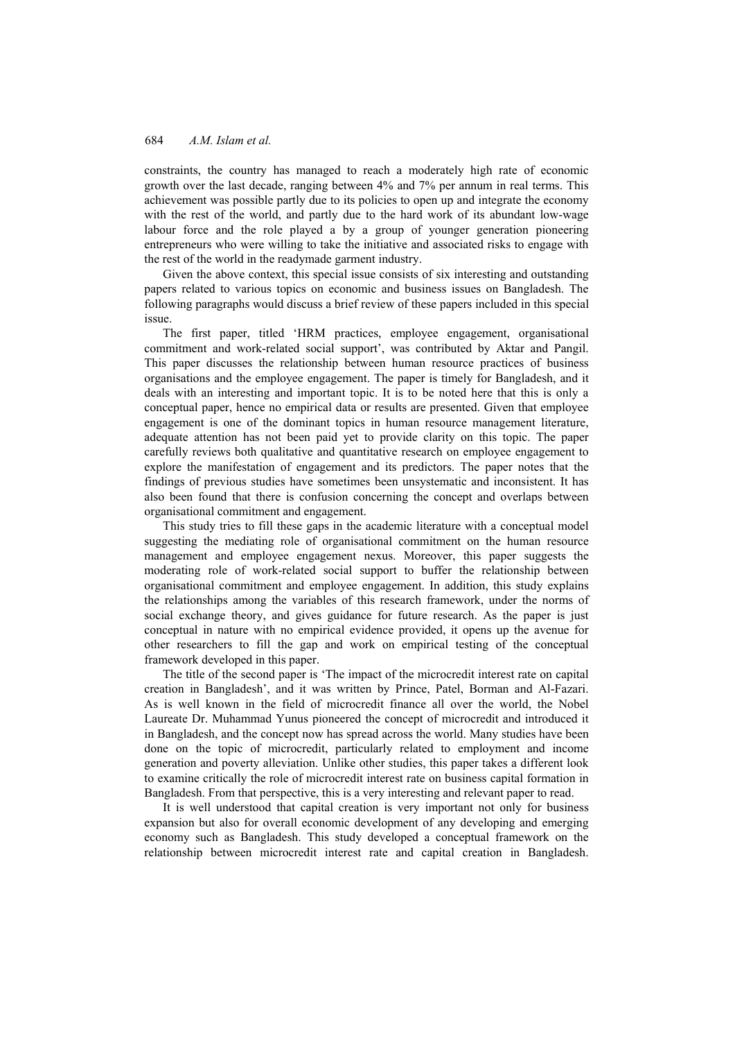constraints, the country has managed to reach a moderately high rate of economic growth over the last decade, ranging between 4% and 7% per annum in real terms. This achievement was possible partly due to its policies to open up and integrate the economy with the rest of the world, and partly due to the hard work of its abundant low-wage labour force and the role played a by a group of younger generation pioneering entrepreneurs who were willing to take the initiative and associated risks to engage with the rest of the world in the readymade garment industry.

Given the above context, this special issue consists of six interesting and outstanding papers related to various topics on economic and business issues on Bangladesh. The following paragraphs would discuss a brief review of these papers included in this special issue.

The first paper, titled 'HRM practices, employee engagement, organisational commitment and work-related social support', was contributed by Aktar and Pangil. This paper discusses the relationship between human resource practices of business organisations and the employee engagement. The paper is timely for Bangladesh, and it deals with an interesting and important topic. It is to be noted here that this is only a conceptual paper, hence no empirical data or results are presented. Given that employee engagement is one of the dominant topics in human resource management literature, adequate attention has not been paid yet to provide clarity on this topic. The paper carefully reviews both qualitative and quantitative research on employee engagement to explore the manifestation of engagement and its predictors. The paper notes that the findings of previous studies have sometimes been unsystematic and inconsistent. It has also been found that there is confusion concerning the concept and overlaps between organisational commitment and engagement.

This study tries to fill these gaps in the academic literature with a conceptual model suggesting the mediating role of organisational commitment on the human resource management and employee engagement nexus. Moreover, this paper suggests the moderating role of work-related social support to buffer the relationship between organisational commitment and employee engagement. In addition, this study explains the relationships among the variables of this research framework, under the norms of social exchange theory, and gives guidance for future research. As the paper is just conceptual in nature with no empirical evidence provided, it opens up the avenue for other researchers to fill the gap and work on empirical testing of the conceptual framework developed in this paper.

The title of the second paper is 'The impact of the microcredit interest rate on capital creation in Bangladesh', and it was written by Prince, Patel, Borman and Al-Fazari. As is well known in the field of microcredit finance all over the world, the Nobel Laureate Dr. Muhammad Yunus pioneered the concept of microcredit and introduced it in Bangladesh, and the concept now has spread across the world. Many studies have been done on the topic of microcredit, particularly related to employment and income generation and poverty alleviation. Unlike other studies, this paper takes a different look to examine critically the role of microcredit interest rate on business capital formation in Bangladesh. From that perspective, this is a very interesting and relevant paper to read.

It is well understood that capital creation is very important not only for business expansion but also for overall economic development of any developing and emerging economy such as Bangladesh. This study developed a conceptual framework on the relationship between microcredit interest rate and capital creation in Bangladesh.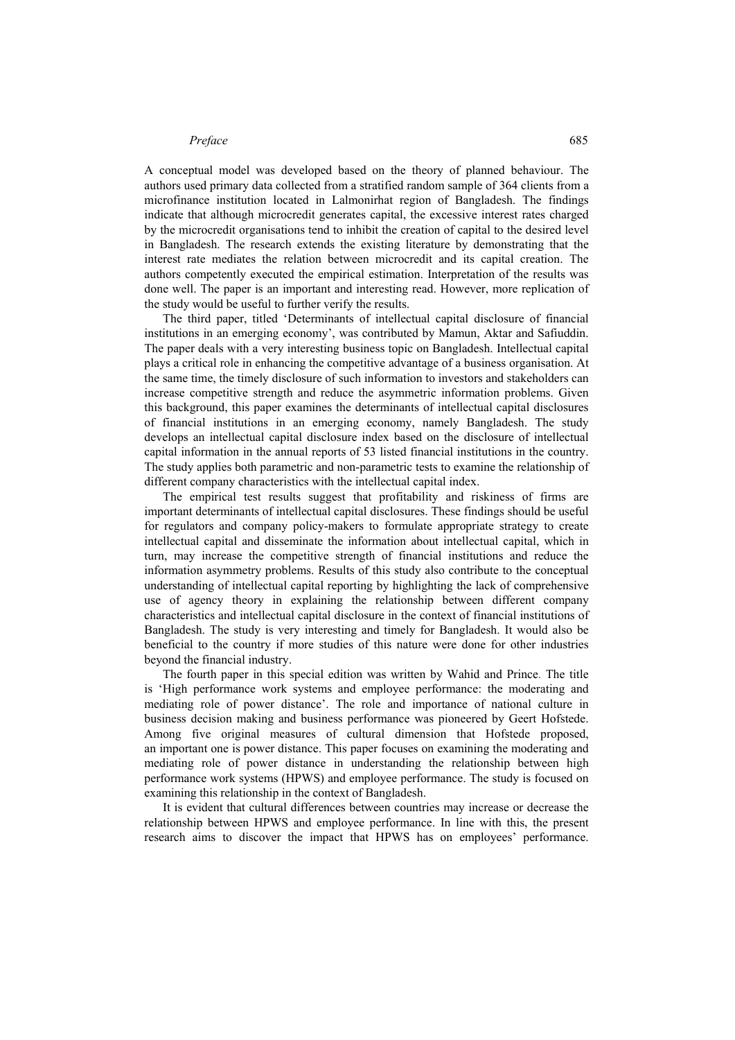## *Preface* 685

A conceptual model was developed based on the theory of planned behaviour. The authors used primary data collected from a stratified random sample of 364 clients from a microfinance institution located in Lalmonirhat region of Bangladesh. The findings indicate that although microcredit generates capital, the excessive interest rates charged by the microcredit organisations tend to inhibit the creation of capital to the desired level in Bangladesh. The research extends the existing literature by demonstrating that the interest rate mediates the relation between microcredit and its capital creation. The authors competently executed the empirical estimation. Interpretation of the results was done well. The paper is an important and interesting read. However, more replication of the study would be useful to further verify the results.

The third paper, titled 'Determinants of intellectual capital disclosure of financial institutions in an emerging economy', was contributed by Mamun, Aktar and Safiuddin. The paper deals with a very interesting business topic on Bangladesh. Intellectual capital plays a critical role in enhancing the competitive advantage of a business organisation. At the same time, the timely disclosure of such information to investors and stakeholders can increase competitive strength and reduce the asymmetric information problems. Given this background, this paper examines the determinants of intellectual capital disclosures of financial institutions in an emerging economy, namely Bangladesh. The study develops an intellectual capital disclosure index based on the disclosure of intellectual capital information in the annual reports of 53 listed financial institutions in the country. The study applies both parametric and non-parametric tests to examine the relationship of different company characteristics with the intellectual capital index.

The empirical test results suggest that profitability and riskiness of firms are important determinants of intellectual capital disclosures. These findings should be useful for regulators and company policy-makers to formulate appropriate strategy to create intellectual capital and disseminate the information about intellectual capital, which in turn, may increase the competitive strength of financial institutions and reduce the information asymmetry problems. Results of this study also contribute to the conceptual understanding of intellectual capital reporting by highlighting the lack of comprehensive use of agency theory in explaining the relationship between different company characteristics and intellectual capital disclosure in the context of financial institutions of Bangladesh. The study is very interesting and timely for Bangladesh. It would also be beneficial to the country if more studies of this nature were done for other industries beyond the financial industry.

The fourth paper in this special edition was written by Wahid and Prince. The title is 'High performance work systems and employee performance: the moderating and mediating role of power distance'. The role and importance of national culture in business decision making and business performance was pioneered by Geert Hofstede. Among five original measures of cultural dimension that Hofstede proposed, an important one is power distance. This paper focuses on examining the moderating and mediating role of power distance in understanding the relationship between high performance work systems (HPWS) and employee performance. The study is focused on examining this relationship in the context of Bangladesh.

It is evident that cultural differences between countries may increase or decrease the relationship between HPWS and employee performance. In line with this, the present research aims to discover the impact that HPWS has on employees' performance.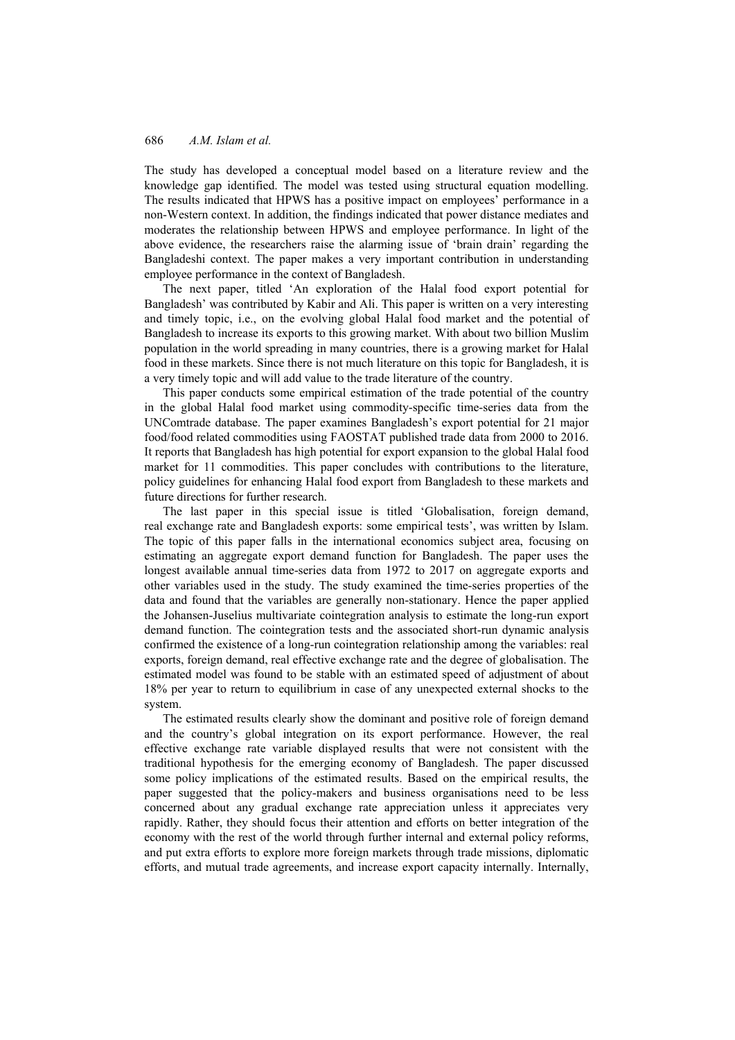The study has developed a conceptual model based on a literature review and the knowledge gap identified. The model was tested using structural equation modelling. The results indicated that HPWS has a positive impact on employees' performance in a non-Western context. In addition, the findings indicated that power distance mediates and moderates the relationship between HPWS and employee performance. In light of the above evidence, the researchers raise the alarming issue of 'brain drain' regarding the Bangladeshi context. The paper makes a very important contribution in understanding employee performance in the context of Bangladesh.

The next paper, titled 'An exploration of the Halal food export potential for Bangladesh' was contributed by Kabir and Ali. This paper is written on a very interesting and timely topic, i.e., on the evolving global Halal food market and the potential of Bangladesh to increase its exports to this growing market. With about two billion Muslim population in the world spreading in many countries, there is a growing market for Halal food in these markets. Since there is not much literature on this topic for Bangladesh, it is a very timely topic and will add value to the trade literature of the country.

This paper conducts some empirical estimation of the trade potential of the country in the global Halal food market using commodity-specific time-series data from the UNComtrade database. The paper examines Bangladesh's export potential for 21 major food/food related commodities using FAOSTAT published trade data from 2000 to 2016. It reports that Bangladesh has high potential for export expansion to the global Halal food market for 11 commodities. This paper concludes with contributions to the literature, policy guidelines for enhancing Halal food export from Bangladesh to these markets and future directions for further research.

The last paper in this special issue is titled 'Globalisation, foreign demand, real exchange rate and Bangladesh exports: some empirical tests', was written by Islam. The topic of this paper falls in the international economics subject area, focusing on estimating an aggregate export demand function for Bangladesh. The paper uses the longest available annual time-series data from 1972 to 2017 on aggregate exports and other variables used in the study. The study examined the time-series properties of the data and found that the variables are generally non-stationary. Hence the paper applied the Johansen-Juselius multivariate cointegration analysis to estimate the long-run export demand function. The cointegration tests and the associated short-run dynamic analysis confirmed the existence of a long-run cointegration relationship among the variables: real exports, foreign demand, real effective exchange rate and the degree of globalisation. The estimated model was found to be stable with an estimated speed of adjustment of about 18% per year to return to equilibrium in case of any unexpected external shocks to the system.

The estimated results clearly show the dominant and positive role of foreign demand and the country's global integration on its export performance. However, the real effective exchange rate variable displayed results that were not consistent with the traditional hypothesis for the emerging economy of Bangladesh. The paper discussed some policy implications of the estimated results. Based on the empirical results, the paper suggested that the policy-makers and business organisations need to be less concerned about any gradual exchange rate appreciation unless it appreciates very rapidly. Rather, they should focus their attention and efforts on better integration of the economy with the rest of the world through further internal and external policy reforms, and put extra efforts to explore more foreign markets through trade missions, diplomatic efforts, and mutual trade agreements, and increase export capacity internally. Internally,